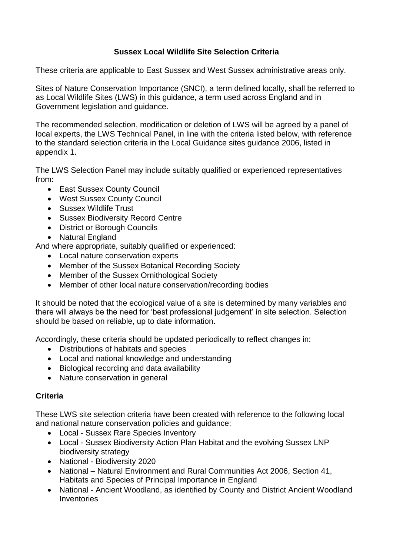# **Sussex Local Wildlife Site Selection Criteria**

These criteria are applicable to East Sussex and West Sussex administrative areas only.

Sites of Nature Conservation Importance (SNCI), a term defined locally, shall be referred to as Local Wildlife Sites (LWS) in this guidance, a term used across England and in Government legislation and guidance.

The recommended selection, modification or deletion of LWS will be agreed by a panel of local experts, the LWS Technical Panel, in line with the criteria listed below, with reference to the standard selection criteria in the Local Guidance sites guidance 2006, listed in appendix 1.

The LWS Selection Panel may include suitably qualified or experienced representatives from:

- East Sussex County Council
- West Sussex County Council
- Sussex Wildlife Trust
- Sussex Biodiversity Record Centre
- District or Borough Councils
- Natural England

And where appropriate, suitably qualified or experienced:

- Local nature conservation experts
- Member of the Sussex Botanical Recording Society
- Member of the Sussex Ornithological Society
- Member of other local nature conservation/recording bodies

It should be noted that the ecological value of a site is determined by many variables and there will always be the need for 'best professional judgement' in site selection. Selection should be based on reliable, up to date information.

Accordingly, these criteria should be updated periodically to reflect changes in:

- Distributions of habitats and species
- Local and national knowledge and understanding
- Biological recording and data availability
- Nature conservation in general

# **Criteria**

These LWS site selection criteria have been created with reference to the following local and national nature conservation policies and guidance:

- Local Sussex Rare Species Inventory
- Local Sussex Biodiversity Action Plan Habitat and the evolving Sussex LNP biodiversity strategy
- National Biodiversity 2020
- National Natural Environment and Rural Communities Act 2006, Section 41, Habitats and Species of Principal Importance in England
- National Ancient Woodland, as identified by County and District Ancient Woodland **Inventories**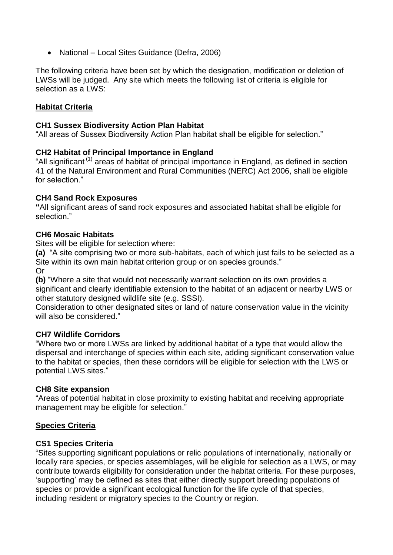• National – Local Sites Guidance (Defra, 2006)

The following criteria have been set by which the designation, modification or deletion of LWSs will be judged. Any site which meets the following list of criteria is eligible for selection as a LWS:

## **Habitat Criteria**

#### **CH1 Sussex Biodiversity Action Plan Habitat**

"All areas of Sussex Biodiversity Action Plan habitat shall be eligible for selection."

### **CH2 Habitat of Principal Importance in England**

"All significant (1) areas of habitat of principal importance in England, as defined in section 41 of the Natural Environment and Rural Communities (NERC) Act 2006, shall be eligible for selection."

### **CH4 Sand Rock Exposures**

**"**All significant areas of sand rock exposures and associated habitat shall be eligible for selection."

### **CH6 Mosaic Habitats**

Sites will be eligible for selection where:

**(a)** "A site comprising two or more sub-habitats, each of which just fails to be selected as a Site within its own main habitat criterion group or on species grounds." Or

**(b)** "Where a site that would not necessarily warrant selection on its own provides a significant and clearly identifiable extension to the habitat of an adjacent or nearby LWS or other statutory designed wildlife site (e.g. SSSI).

Consideration to other designated sites or land of nature conservation value in the vicinity will also be considered."

### **CH7 Wildlife Corridors**

"Where two or more LWSs are linked by additional habitat of a type that would allow the dispersal and interchange of species within each site, adding significant conservation value to the habitat or species, then these corridors will be eligible for selection with the LWS or potential LWS sites."

### **CH8 Site expansion**

"Areas of potential habitat in close proximity to existing habitat and receiving appropriate management may be eligible for selection."

### **Species Criteria**

### **CS1 Species Criteria**

"Sites supporting significant populations or relic populations of internationally, nationally or locally rare species, or species assemblages, will be eligible for selection as a LWS, or may contribute towards eligibility for consideration under the habitat criteria. For these purposes, 'supporting' may be defined as sites that either directly support breeding populations of species or provide a significant ecological function for the life cycle of that species, including resident or migratory species to the Country or region.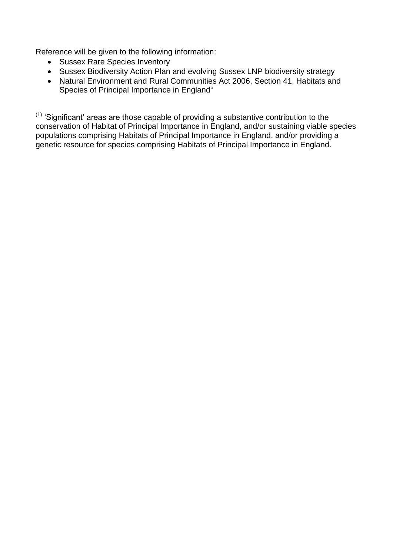Reference will be given to the following information:

- Sussex Rare Species Inventory
- Sussex Biodiversity Action Plan and evolving Sussex LNP biodiversity strategy
- Natural Environment and Rural Communities Act 2006, Section 41, Habitats and Species of Principal Importance in England"

 $(1)$  'Significant' areas are those capable of providing a substantive contribution to the conservation of Habitat of Principal Importance in England, and/or sustaining viable species populations comprising Habitats of Principal Importance in England, and/or providing a genetic resource for species comprising Habitats of Principal Importance in England.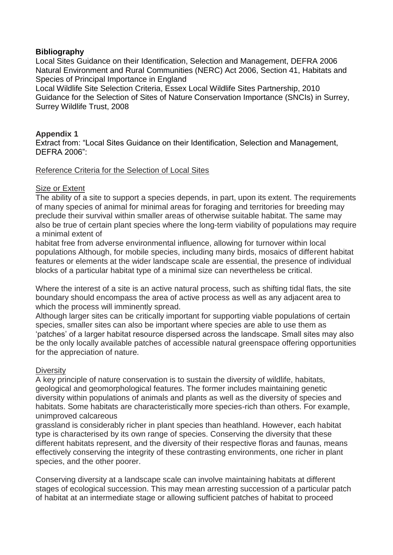## **Bibliography**

Local Sites Guidance on their Identification, Selection and Management, DEFRA 2006 Natural Environment and Rural Communities (NERC) Act 2006, Section 41, Habitats and Species of Principal Importance in England

Local Wildlife Site Selection Criteria, Essex Local Wildlife Sites Partnership, 2010 Guidance for the Selection of Sites of Nature Conservation Importance (SNCIs) in Surrey, Surrey Wildlife Trust, 2008

## **Appendix 1**

Extract from: "Local Sites Guidance on their Identification, Selection and Management, DEFRA 2006":

### Reference Criteria for the Selection of Local Sites

### **Size or Extent**

The ability of a site to support a species depends, in part, upon its extent. The requirements of many species of animal for minimal areas for foraging and territories for breeding may preclude their survival within smaller areas of otherwise suitable habitat. The same may also be true of certain plant species where the long-term viability of populations may require a minimal extent of

habitat free from adverse environmental influence, allowing for turnover within local populations Although, for mobile species, including many birds, mosaics of different habitat features or elements at the wider landscape scale are essential, the presence of individual blocks of a particular habitat type of a minimal size can nevertheless be critical.

Where the interest of a site is an active natural process, such as shifting tidal flats, the site boundary should encompass the area of active process as well as any adjacent area to which the process will imminently spread.

Although larger sites can be critically important for supporting viable populations of certain species, smaller sites can also be important where species are able to use them as 'patches' of a larger habitat resource dispersed across the landscape. Small sites may also be the only locally available patches of accessible natural greenspace offering opportunities for the appreciation of nature.

### **Diversity**

A key principle of nature conservation is to sustain the diversity of wildlife, habitats, geological and geomorphological features. The former includes maintaining genetic diversity within populations of animals and plants as well as the diversity of species and habitats. Some habitats are characteristically more species-rich than others. For example, unimproved calcareous

grassland is considerably richer in plant species than heathland. However, each habitat type is characterised by its own range of species. Conserving the diversity that these different habitats represent, and the diversity of their respective floras and faunas, means effectively conserving the integrity of these contrasting environments, one richer in plant species, and the other poorer.

Conserving diversity at a landscape scale can involve maintaining habitats at different stages of ecological succession. This may mean arresting succession of a particular patch of habitat at an intermediate stage or allowing sufficient patches of habitat to proceed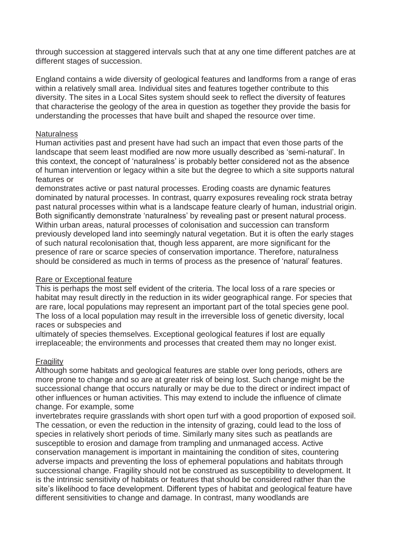through succession at staggered intervals such that at any one time different patches are at different stages of succession.

England contains a wide diversity of geological features and landforms from a range of eras within a relatively small area. Individual sites and features together contribute to this diversity. The sites in a Local Sites system should seek to reflect the diversity of features that characterise the geology of the area in question as together they provide the basis for understanding the processes that have built and shaped the resource over time.

### **Naturalness**

Human activities past and present have had such an impact that even those parts of the landscape that seem least modified are now more usually described as 'semi-natural'. In this context, the concept of 'naturalness' is probably better considered not as the absence of human intervention or legacy within a site but the degree to which a site supports natural features or

demonstrates active or past natural processes. Eroding coasts are dynamic features dominated by natural processes. In contrast, quarry exposures revealing rock strata betray past natural processes within what is a landscape feature clearly of human, industrial origin. Both significantly demonstrate 'naturalness' by revealing past or present natural process. Within urban areas, natural processes of colonisation and succession can transform previously developed land into seemingly natural vegetation. But it is often the early stages of such natural recolonisation that, though less apparent, are more significant for the presence of rare or scarce species of conservation importance. Therefore, naturalness should be considered as much in terms of process as the presence of 'natural' features.

### Rare or Exceptional feature

This is perhaps the most self evident of the criteria. The local loss of a rare species or habitat may result directly in the reduction in its wider geographical range. For species that are rare, local populations may represent an important part of the total species gene pool. The loss of a local population may result in the irreversible loss of genetic diversity, local races or subspecies and

ultimately of species themselves. Exceptional geological features if lost are equally irreplaceable; the environments and processes that created them may no longer exist.

# Fragility

Although some habitats and geological features are stable over long periods, others are more prone to change and so are at greater risk of being lost. Such change might be the successional change that occurs naturally or may be due to the direct or indirect impact of other influences or human activities. This may extend to include the influence of climate change. For example, some

invertebrates require grasslands with short open turf with a good proportion of exposed soil. The cessation, or even the reduction in the intensity of grazing, could lead to the loss of species in relatively short periods of time. Similarly many sites such as peatlands are susceptible to erosion and damage from trampling and unmanaged access. Active conservation management is important in maintaining the condition of sites, countering adverse impacts and preventing the loss of ephemeral populations and habitats through successional change. Fragility should not be construed as susceptibility to development. It is the intrinsic sensitivity of habitats or features that should be considered rather than the site's likelihood to face development. Different types of habitat and geological feature have different sensitivities to change and damage. In contrast, many woodlands are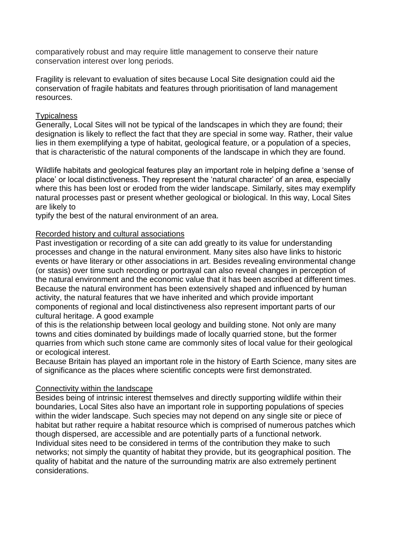comparatively robust and may require little management to conserve their nature conservation interest over long periods.

Fragility is relevant to evaluation of sites because Local Site designation could aid the conservation of fragile habitats and features through prioritisation of land management resources.

#### **Typicalness**

Generally, Local Sites will not be typical of the landscapes in which they are found; their designation is likely to reflect the fact that they are special in some way. Rather, their value lies in them exemplifying a type of habitat, geological feature, or a population of a species, that is characteristic of the natural components of the landscape in which they are found.

Wildlife habitats and geological features play an important role in helping define a 'sense of place' or local distinctiveness. They represent the 'natural character' of an area, especially where this has been lost or eroded from the wider landscape. Similarly, sites may exemplify natural processes past or present whether geological or biological. In this way, Local Sites are likely to

typify the best of the natural environment of an area.

### Recorded history and cultural associations

Past investigation or recording of a site can add greatly to its value for understanding processes and change in the natural environment. Many sites also have links to historic events or have literary or other associations in art. Besides revealing environmental change (or stasis) over time such recording or portrayal can also reveal changes in perception of the natural environment and the economic value that it has been ascribed at different times. Because the natural environment has been extensively shaped and influenced by human activity, the natural features that we have inherited and which provide important components of regional and local distinctiveness also represent important parts of our cultural heritage. A good example

of this is the relationship between local geology and building stone. Not only are many towns and cities dominated by buildings made of locally quarried stone, but the former quarries from which such stone came are commonly sites of local value for their geological or ecological interest.

Because Britain has played an important role in the history of Earth Science, many sites are of significance as the places where scientific concepts were first demonstrated.

#### Connectivity within the landscape

Besides being of intrinsic interest themselves and directly supporting wildlife within their boundaries, Local Sites also have an important role in supporting populations of species within the wider landscape. Such species may not depend on any single site or piece of habitat but rather require a habitat resource which is comprised of numerous patches which though dispersed, are accessible and are potentially parts of a functional network. Individual sites need to be considered in terms of the contribution they make to such networks; not simply the quantity of habitat they provide, but its geographical position. The quality of habitat and the nature of the surrounding matrix are also extremely pertinent considerations.